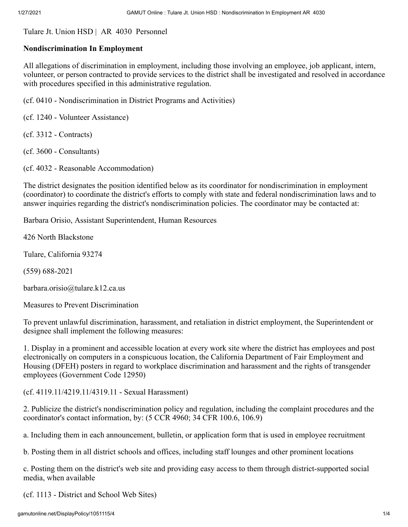[Tulare Jt. Union HSD](http://gamutonline.net/LoadDistrictPolicy/2330) | AR 4030 Personnel

## **Nondiscrimination In Employment**

All allegations of discrimination in employment, including those involving an employee, job applicant, intern, volunteer, or person contracted to provide services to the district shall be investigated and resolved in accordance with procedures specified in this administrative regulation.

(cf. [0410](http://gamutonline.net/displayPolicy/574836/4) - Nondiscrimination in District Programs and Activities)

(cf. [1240](http://gamutonline.net/displayPolicy/574868/4) - Volunteer Assistance)

(cf. [3312](http://gamutonline.net/displayPolicy/574916/4) - Contracts)

(cf. [3600](http://gamutonline.net/displayPolicy/574987/4) - Consultants)

(cf. [4032](http://gamutonline.net/displayPolicy/1051116/4) - Reasonable Accommodation)

The district designates the position identified below as its coordinator for nondiscrimination in employment (coordinator) to coordinate the district's efforts to comply with state and federal nondiscrimination laws and to answer inquiries regarding the district's nondiscrimination policies. The coordinator may be contacted at:

Barbara Orisio, Assistant Superintendent, Human Resources

426 North Blackstone

Tulare, California 93274

(559) 688-2021

barbara.orisio@tulare.k12.ca.us

Measures to Prevent Discrimination

To prevent unlawful discrimination, harassment, and retaliation in district employment, the Superintendent or designee shall implement the following measures:

1. Display in a prominent and accessible location at every work site where the district has employees and post electronically on computers in a conspicuous location, the California Department of Fair Employment and Housing (DFEH) posters in regard to workplace discrimination and harassment and the rights of transgender employees (Government Code [12950\)](http://gamutonline.net/displayPolicy/146414/4)

(cf. [4119.11/](http://gamutonline.net/displayPolicy/1051117/4)[4219.11](http://gamutonline.net/displayPolicy/1051118/4)/[4319.11](http://gamutonline.net/displayPolicy/1051119/4) - Sexual Harassment)

2. Publicize the district's nondiscrimination policy and regulation, including the complaint procedures and the coordinator's contact information, by: (5 CCR [4960](http://gamutonline.net/displayPolicy/187055/4); 34 CFR [100.6,](http://gamutonline.net/displayPolicy/274464/4) [106.9\)](http://gamutonline.net/displayPolicy/274453/4)

a. Including them in each announcement, bulletin, or application form that is used in employee recruitment

b. Posting them in all district schools and offices, including staff lounges and other prominent locations

c. Posting them on the district's web site and providing easy access to them through district-supported social media, when available

(cf. [1113](http://gamutonline.net/displayPolicy/574859/4) - District and School Web Sites)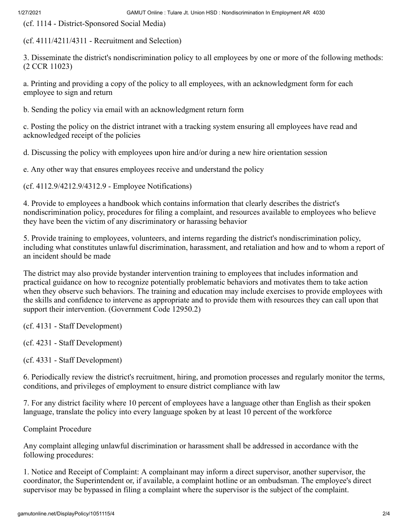(cf. [1114](http://gamutonline.net/displayPolicy/726053/4) - District-Sponsored Social Media)

(cf. [4111/](http://gamutonline.net/displayPolicy/574997/4)[4211](http://gamutonline.net/displayPolicy/574998/4)/[4311](http://gamutonline.net/displayPolicy/574999/4) - Recruitment and Selection)

3. Disseminate the district's nondiscrimination policy to all employees by one or more of the following methods: (2 CCR [11023\)](http://gamutonline.net/displayPolicy/980009/4)

a. Printing and providing a copy of the policy to all employees, with an acknowledgment form for each employee to sign and return

b. Sending the policy via email with an acknowledgment return form

c. Posting the policy on the district intranet with a tracking system ensuring all employees have read and acknowledged receipt of the policies

d. Discussing the policy with employees upon hire and/or during a new hire orientation session

e. Any other way that ensures employees receive and understand the policy

(cf. [4112.9](http://gamutonline.net/displayPolicy/807765/4)[/4212.9](http://gamutonline.net/displayPolicy/807766/4)[/4312.9](http://gamutonline.net/displayPolicy/807767/4) - Employee Notifications)

4. Provide to employees a handbook which contains information that clearly describes the district's nondiscrimination policy, procedures for filing a complaint, and resources available to employees who believe they have been the victim of any discriminatory or harassing behavior

5. Provide training to employees, volunteers, and interns regarding the district's nondiscrimination policy, including what constitutes unlawful discrimination, harassment, and retaliation and how and to whom a report of an incident should be made

The district may also provide bystander intervention training to employees that includes information and practical guidance on how to recognize potentially problematic behaviors and motivates them to take action when they observe such behaviors. The training and education may include exercises to provide employees with the skills and confidence to intervene as appropriate and to provide them with resources they can call upon that support their intervention. (Government Code 12950.2)

(cf. [4131](http://gamutonline.net/displayPolicy/575122/4) - Staff Development)

(cf. [4231](http://gamutonline.net/displayPolicy/575196/4) - Staff Development)

(cf. [4331](http://gamutonline.net/displayPolicy/575209/4) - Staff Development)

6. Periodically review the district's recruitment, hiring, and promotion processes and regularly monitor the terms, conditions, and privileges of employment to ensure district compliance with law

7. For any district facility where 10 percent of employees have a language other than English as their spoken language, translate the policy into every language spoken by at least 10 percent of the workforce

Complaint Procedure

Any complaint alleging unlawful discrimination or harassment shall be addressed in accordance with the following procedures:

1. Notice and Receipt of Complaint: A complainant may inform a direct supervisor, another supervisor, the coordinator, the Superintendent or, if available, a complaint hotline or an ombudsman. The employee's direct supervisor may be bypassed in filing a complaint where the supervisor is the subject of the complaint.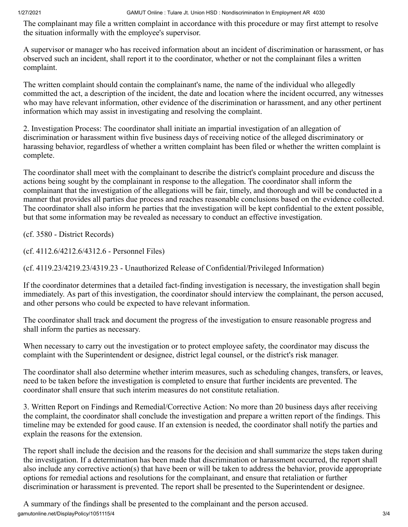The complainant may file a written complaint in accordance with this procedure or may first attempt to resolve the situation informally with the employee's supervisor.

A supervisor or manager who has received information about an incident of discrimination or harassment, or has observed such an incident, shall report it to the coordinator, whether or not the complainant files a written complaint.

The written complaint should contain the complainant's name, the name of the individual who allegedly committed the act, a description of the incident, the date and location where the incident occurred, any witnesses who may have relevant information, other evidence of the discrimination or harassment, and any other pertinent information which may assist in investigating and resolving the complaint.

2. Investigation Process: The coordinator shall initiate an impartial investigation of an allegation of discrimination or harassment within five business days of receiving notice of the alleged discriminatory or harassing behavior, regardless of whether a written complaint has been filed or whether the written complaint is complete.

The coordinator shall meet with the complainant to describe the district's complaint procedure and discuss the actions being sought by the complainant in response to the allegation. The coordinator shall inform the complainant that the investigation of the allegations will be fair, timely, and thorough and will be conducted in a manner that provides all parties due process and reaches reasonable conclusions based on the evidence collected. The coordinator shall also inform he parties that the investigation will be kept confidential to the extent possible, but that some information may be revealed as necessary to conduct an effective investigation.

(cf. [3580](http://gamutonline.net/displayPolicy/574985/4) - District Records)

(cf. [4112.6](http://gamutonline.net/displayPolicy/1055338/4)[/4212.6](http://gamutonline.net/displayPolicy/1055339/4)[/4312.6](http://gamutonline.net/displayPolicy/1055340/4) - Personnel Files)

(cf. [4119.23](http://gamutonline.net/displayPolicy/575088/4)[/4219.23](http://gamutonline.net/displayPolicy/575089/4)[/4319.23](http://gamutonline.net/displayPolicy/575090/4) - Unauthorized Release of Confidential/Privileged Information)

If the coordinator determines that a detailed fact-finding investigation is necessary, the investigation shall begin immediately. As part of this investigation, the coordinator should interview the complainant, the person accused, and other persons who could be expected to have relevant information.

The coordinator shall track and document the progress of the investigation to ensure reasonable progress and shall inform the parties as necessary.

When necessary to carry out the investigation or to protect employee safety, the coordinator may discuss the complaint with the Superintendent or designee, district legal counsel, or the district's risk manager.

The coordinator shall also determine whether interim measures, such as scheduling changes, transfers, or leaves, need to be taken before the investigation is completed to ensure that further incidents are prevented. The coordinator shall ensure that such interim measures do not constitute retaliation.

3. Written Report on Findings and Remedial/Corrective Action: No more than 20 business days after receiving the complaint, the coordinator shall conclude the investigation and prepare a written report of the findings. This timeline may be extended for good cause. If an extension is needed, the coordinator shall notify the parties and explain the reasons for the extension.

The report shall include the decision and the reasons for the decision and shall summarize the steps taken during the investigation. If a determination has been made that discrimination or harassment occurred, the report shall also include any corrective action(s) that have been or will be taken to address the behavior, provide appropriate options for remedial actions and resolutions for the complainant, and ensure that retaliation or further discrimination or harassment is prevented. The report shall be presented to the Superintendent or designee.

gamutonline.net/DisplayPolicy/1051115/4 3/4 A summary of the findings shall be presented to the complainant and the person accused.